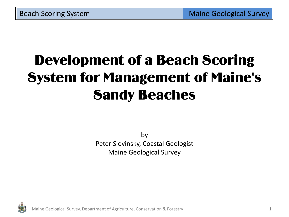# Development of a Beach Scoring System for Management of Maine's Sandy Beaches

by Peter Slovinsky, Coastal Geologist Maine Geological Survey



Maine Geological Survey, Department of Agriculture, Conservation & Forestry 1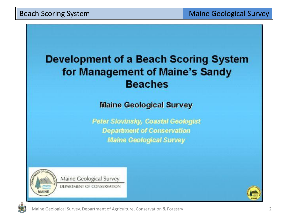## **Development of a Beach Scoring System** for Management of Maine's Sandy **Beaches**

**Maine Geological Survey** 

Peter Slovinsky, Coastal Geologist **Department of Conservation Maine Geological Survey** 



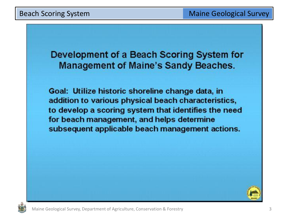Development of a Beach Scoring System for **Management of Maine's Sandy Beaches.** 

Goal: Utilize historic shoreline change data, in addition to various physical beach characteristics, to develop a scoring system that identifies the need for beach management, and helps determine subsequent applicable beach management actions.



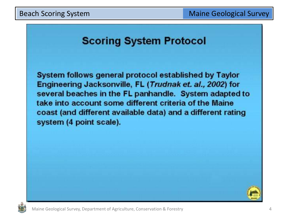### **Scoring System Protocol**

System follows general protocol established by Taylor Engineering Jacksonville, FL (Trudnak et. al., 2002) for several beaches in the FL panhandle. System adapted to take into account some different criteria of the Maine coast (and different available data) and a different rating system (4 point scale).

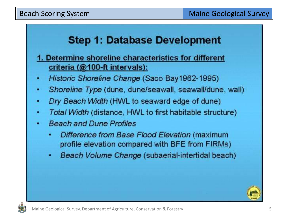### **Step 1: Database Development**

- 1. Determine shoreline characteristics for different criteria (@100-ft intervals):
- Historic Shoreline Change (Saco Bay 1962-1995)
- Shoreline Type (dune, dune/seawall, seawall/dune, wall)
- Dry Beach Width (HWL to seaward edge of dune)
- Total Width (distance, HWL to first habitable structure)
- **Beach and Dune Profiles** 
	- Difference from Base Flood Elevation (maximum profile elevation compared with BFE from FIRMs)
	- Beach Volume Change (subaerial-intertidal beach) ٠



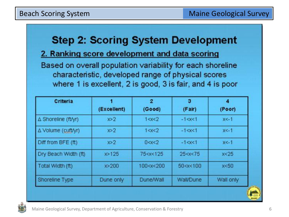### **Step 2: Scoring System Development**

#### 2. Ranking score development and data scoring

Based on overall population variability for each shoreline characteristic, developed range of physical scores where 1 is excellent, 2 is good, 3 is fair, and 4 is poor

| Criteria             | (Excellent) | $\overline{2}$<br>(Good)                                                        | 3<br>(Fair)                                  | 4<br>(Poor) |
|----------------------|-------------|---------------------------------------------------------------------------------|----------------------------------------------|-------------|
| △ Shoreline (ft/yr)  | x > 2       | 1 < x < 2                                                                       | $-1 < x < 1$                                 | $x < -1$    |
| ∆ Volume (cuft/yr)   | x > 2       | 1 < x < 2                                                                       | $-1 < x < 1$                                 | $x < -1$    |
| Diff from BFE (ft)   | x > 2       | 0 < x < 2                                                                       | $-1 < x < 1$                                 | $x < -1$    |
| Dry Beach Width (ft) | x > 125     | 75 <x<125< td=""><td>25 &lt; x &lt; 75</td><td>x &lt; 25</td></x<125<>          | 25 < x < 75                                  | x < 25      |
| Total Width (ft)     | x > 200     | 100 <x<200< td=""><td>50<x<100< td=""><td>x &lt; 50</td></x<100<></td></x<200<> | 50 <x<100< td=""><td>x &lt; 50</td></x<100<> | x < 50      |
| Shoreline Type       | Dune only   | Dune/Wall                                                                       | Wall/Dune                                    | Wall only   |

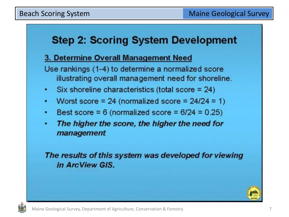## **Step 2: Scoring System Development**

### 3. Determine Overall Management Need

Use rankings (1-4) to determine a normalized score illustrating overall management need for shoreline.

- Six shoreline characteristics (total score  $= 24$ )
- Worst score = 24 (normalized score =  $24/24 = 1$ ) ٠
- Best score =  $6$  (normalized score =  $6/24 = 0.25$ ) ۰
- The higher the score, the higher the need for management

The results of this system was developed for viewing in ArcView GIS.



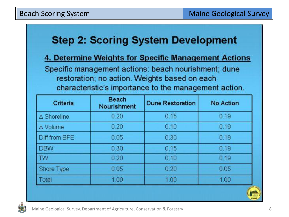## **Step 2: Scoring System Development**

### 4. Determine Weights for Specific Management Actions

Specific management actions: beach nourishment; dune restoration; no action. Weights based on each characteristic's importance to the management action.

| Criteria              | <b>Beach</b><br>Nourishment | <b>Dune Restoration</b> | <b>No Action</b> |
|-----------------------|-----------------------------|-------------------------|------------------|
| $\triangle$ Shoreline | 0.20                        | 0.15                    | 0.19             |
| ∆ Volume              | 0.20                        | 0.10                    | 0.19             |
| Diff from BFE         | 0.05                        | 0.30                    | 0.19             |
| <b>DBW</b>            | 0.30                        | 0.15                    | 0.19             |
| <b>TW</b>             | 0.20                        | 0.10                    | 0.19             |
| Shore Type            | 0.05                        | 0.20                    | 0.05             |
| Total                 | 1.00                        | 1.00                    | 1.00             |

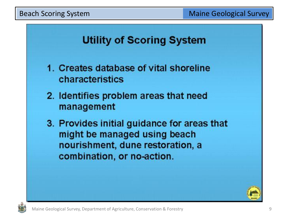## **Utility of Scoring System**

- 1. Creates database of vital shoreline characteristics
- 2. Identifies problem areas that need management
- 3. Provides initial guidance for areas that might be managed using beach nourishment, dune restoration, a combination, or no-action.



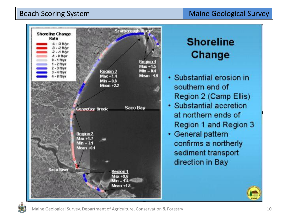#### Beach Scoring System Maine Geological Survey



## **Shoreline Change**

- · Substantial erosion in southern end of Region 2 (Camp Ellis)
- · Substantial accretion at northern ends of Region 1 and Region 3
- General pattern confirms a northerly sediment transport direction in Bay

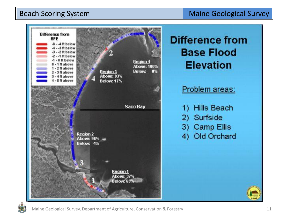#### Beach Scoring System **Maine Geological Survey** Beach Scoring System Maine Geological Survey





Maine Geological Survey, Department of Agriculture, Conservation & Forestry 11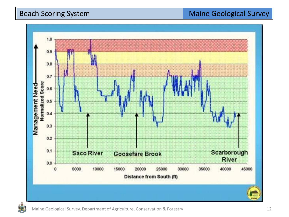

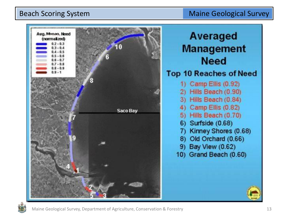

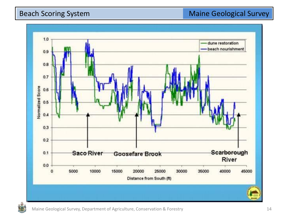

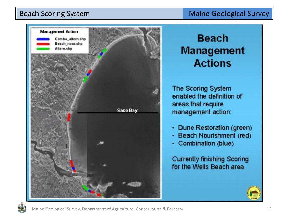